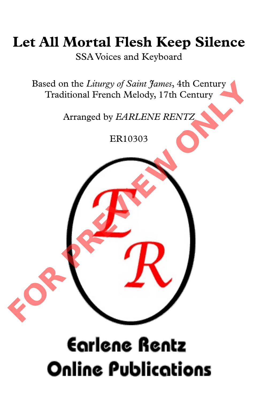## **Let All Mortal Flesh Keep Silence**

SSA Voices and Keyboard

Based on the *Liturgy of Saint James*, 4th Century Traditional French Melody, 17th Century

Arranged by *EARLENE RENTZ*

ER10303



## **Earlene Rentz Online Publications**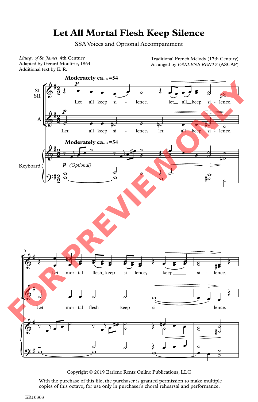## **Let All Mortal Flesh Keep Silence**

SSA Voices and Optional Accompaniment

*Liturgy of St. James*, 4th Century Adapted by Gerard Moultrie, 1864 Liturgy of St. James, 4th Century<br>Adapted by Gerard Moultrie, 1864 **Franch Melody Contains Arranged by EARLENE RENTZ** (ASCAP)<br>Additional text by E. R.

Arranged by *EARLENE RENTZ* (ASCAP)



Copyright © 2019 Earlene Rentz Online Publications, LLC

With the purchase of this file, the purchaser is granted permission to make multiple copies of this octavo, for use only in purchaser's choral rehearsal and performance.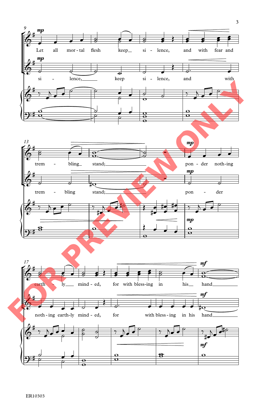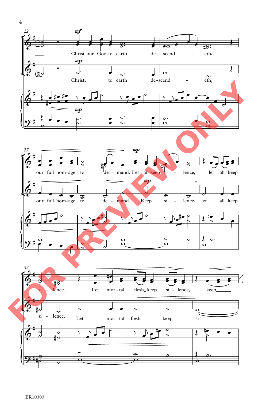